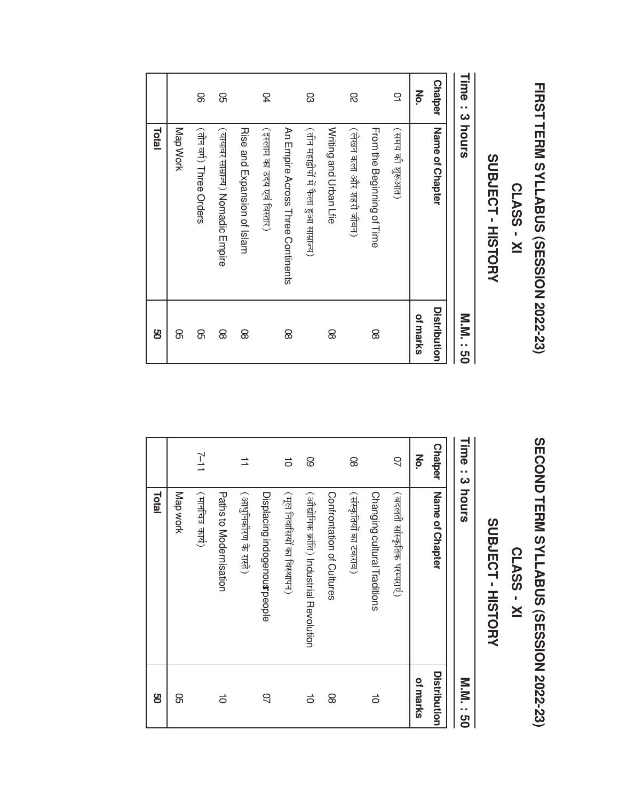# FIRST TERM SYLLABUS (SESSION 2022-23)

### **CLASS - XI**

## SUBJECT - HISTORY

| Time: 3 hours  |                                         | M'M<br>ပ္ပ   |
|----------------|-----------------------------------------|--------------|
| <b>Chatper</b> | Name of Chapter                         | Distribution |
| ξ              |                                         | of marks     |
| $\supseteq$    | (समय की शुरूआत)                         |              |
|                | Hom the Beginning of Hime               | 8            |
| 8              | (लेखन कला और शहरी जीवन)                 |              |
|                | Writing and Urban Lfie                  | 8            |
| 8              | (तीन महाद्वीपों में फैला हुआ साम्राज्य) |              |
|                | An Empire Across Three Continents       | 8            |
| 54             | (इस्लाम का उदय एवं विस्तार)             |              |
|                | <b>Rise and Expansion of Islam</b>      | 8            |
| 8              | ( यायावर साम्राज्य ) Nomadic Empire     | 8            |
| 8              | (तीन वर्ग) Three Orders                 | 8            |
|                | Map Work                                | ଌ            |
|                | Total                                   | g            |

# SECOND TERM SYLLABUS (SESSION 2022-23)

## **CLASS - XI**

## SUBJECT - HISTORY

| Time: 3 hours        |                                           | M.N.<br>ပ္ပ  |
|----------------------|-------------------------------------------|--------------|
| <b>Chatper</b>       | Name of Chapter                           | Distribution |
| š                    |                                           | of marks     |
| $\overline{a}$       | (बदलती सांस्कृतिक परम्पराए)               |              |
|                      | Changing cultural Traditions              | ਠਂ           |
| 8                    | (संस्कृतियों का टकराव)                    |              |
|                      | Confrontation of Cultures                 | 8            |
| 8                    | (ओंद्योगिक क्रांति) Industrial Revolution | $\vec{0}$    |
| $\vec{0}$            | (मूल निवासियों का विस्थापन)               |              |
|                      | Displacing indogenous people              | S            |
| $\overrightarrow{=}$ | (अप्धुनिकीरण के रास्ते)                   |              |
|                      | Patris to Modernisation                   | $\vec{0}$    |
| $11 - 2$             | (मार्नाचेत्र कार्य)                       |              |
|                      | Map work                                  | ଌ            |
|                      | Total                                     | g            |